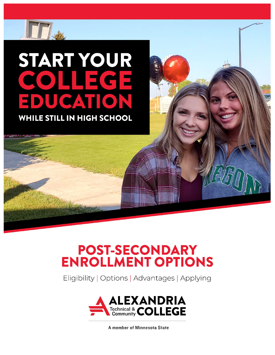# START YOUR **KOLLER** Subhead  $\Delta$ WHILE STILL IN HIGH SCHOOL

**POST-SECONDARY<br>ENROLLMENT OPTIONS** 

Eligibility | Options | Advantages | Applying



A member of Minnesota State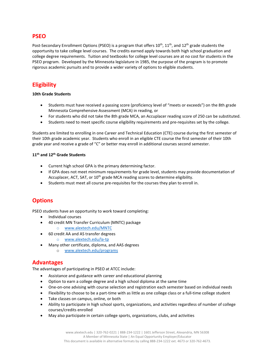#### **PSEO**

Post-Secondary Enrollment Options (PSEO) is a program that offers  $10^{th}$ ,  $11^{th}$ , and  $12^{th}$  grade students the opportunity to take college level courses. The credits earned apply towards both high school graduation and college degree requirements. Tuition and textbooks for college level courses are at no cost for students in the PSEO program. Developed by the Minnesota legislature in 1985, the purpose of the program is to promote rigorous academic pursuits and to provide a wider variety of options to eligible students.

# **Eligibility**

#### **10th Grade Students**

- Students must have received a passing score (proficiency level of "meets or exceeds") on the 8th grade Minnesota Comprehensive Assessment (MCA) in reading, or
- For students who did not take the 8th grade MCA, an Accuplacer reading score of 250 can be substituted.
- Students need to meet specific course eligibility requirements and pre-requisites set by the college.

Students are limited to enrolling in one Career and Technical Education (CTE) course during the first semester of their 10th grade academic year. Students who enroll in an eligible CTE course the first semester of their 10th grade year and receive a grade of "C" or better may enroll in additional courses second semester.

#### **11th and 12th Grade Students**

- Current high school GPA is the primary determining factor.
- If GPA does not meet minimum requirements for grade level, students may provide documentation of Accuplacer, ACT, SAT, or 10<sup>th</sup> grade MCA reading scores to determine eligibility.
- Students must meet all course pre-requisites for the courses they plan to enroll in.

## **Options**

PSEO students have an opportunity to work toward completing:

- Individual courses
- 40 credit MN Transfer Curriculum (MNTC) package
	- o [www.alextech.edu/MNTC](http://www.alextech.edu/MNTC)
- 60 credit AA and AS transfer degrees
	- o [www.alextech.edu/la](http://www.alextech.edu/la-tp)-tp
- Many other certificate, diploma, and AAS degrees
	- o [www.alextech.edu/programs](http://www.alextech.edu/programs)

#### **Advantages**

The advantages of participating in PSEO at ATCC include:

- Assistance and guidance with career and educational planning
- Option to earn a college degree and a high school diploma at the same time
- One-on-one advising with course selection and registration each semester based on individual needs
- Flexibility to choose to be a part-time with as little as one college class or a full-time college student
- Take classes on campus, online, or both
- Ability to participate in high school sports, organizations, and activities regardless of number of college courses/credits enrolled
- May also participate in certain college sports, organizations, clubs, and activities